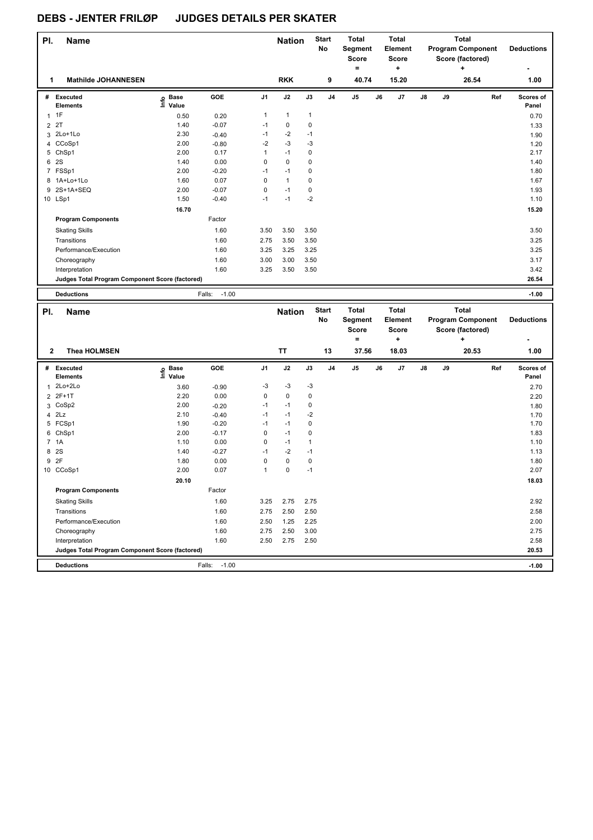| PI.          | <b>Name</b>                                     |                                             |                   |                | <b>Nation</b> |              | <b>Start</b><br><b>No</b> | <b>Total</b><br>Segment<br><b>Score</b><br>$\equiv$ |    | Total<br>Element<br>Score<br>٠ |    |    | Total<br><b>Program Component</b><br>Score (factored)<br>٠ | <b>Deductions</b><br>٠ |
|--------------|-------------------------------------------------|---------------------------------------------|-------------------|----------------|---------------|--------------|---------------------------|-----------------------------------------------------|----|--------------------------------|----|----|------------------------------------------------------------|------------------------|
| 1            | <b>Mathilde JOHANNESEN</b>                      |                                             |                   |                | <b>RKK</b>    |              | 9                         | 40.74                                               |    | 15.20                          |    |    | 26.54                                                      | 1.00                   |
| #            | Executed<br><b>Elements</b>                     | <b>Base</b><br>$\circ$<br>$\bar{\Xi}$ Value | GOE               | J <sub>1</sub> | J2            | J3           | J <sub>4</sub>            | J <sub>5</sub>                                      | J6 | J7                             | J8 | J9 | Ref                                                        | Scores of<br>Panel     |
| $\mathbf{1}$ | 1F                                              | 0.50                                        | 0.20              | $\mathbf{1}$   | $\mathbf{1}$  | $\mathbf{1}$ |                           |                                                     |    |                                |    |    |                                                            | 0.70                   |
|              | 2 2T                                            | 1.40                                        | $-0.07$           | $-1$           | $\mathbf 0$   | $\mathbf 0$  |                           |                                                     |    |                                |    |    |                                                            | 1.33                   |
|              | 3 2Lo+1Lo                                       | 2.30                                        | $-0.40$           | $-1$           | $-2$          | $-1$         |                           |                                                     |    |                                |    |    |                                                            | 1.90                   |
|              | 4 CCoSp1                                        | 2.00                                        | $-0.80$           | $-2$           | $-3$          | $-3$         |                           |                                                     |    |                                |    |    |                                                            | 1.20                   |
|              | 5 ChSp1                                         | 2.00                                        | 0.17              | 1              | $-1$          | 0            |                           |                                                     |    |                                |    |    |                                                            | 2.17                   |
| 6            | <b>2S</b>                                       | 1.40                                        | 0.00              | $\mathbf 0$    | $\mathbf 0$   | 0            |                           |                                                     |    |                                |    |    |                                                            | 1.40                   |
|              | 7 FSSp1                                         | 2.00                                        | $-0.20$           | $-1$           | $-1$          | 0            |                           |                                                     |    |                                |    |    |                                                            | 1.80                   |
|              | 8 1A+Lo+1Lo                                     | 1.60                                        | 0.07              | 0              | $\mathbf{1}$  | 0            |                           |                                                     |    |                                |    |    |                                                            | 1.67                   |
| 9            | 2S+1A+SEQ                                       | 2.00                                        | $-0.07$           | $\mathbf 0$    | $-1$          | $\mathbf 0$  |                           |                                                     |    |                                |    |    |                                                            | 1.93                   |
|              | 10 LSp1                                         | 1.50                                        | $-0.40$           | $-1$           | $-1$          | $-2$         |                           |                                                     |    |                                |    |    |                                                            | 1.10                   |
|              |                                                 | 16.70                                       |                   |                |               |              |                           |                                                     |    |                                |    |    |                                                            | 15.20                  |
|              | <b>Program Components</b>                       |                                             | Factor            |                |               |              |                           |                                                     |    |                                |    |    |                                                            |                        |
|              | <b>Skating Skills</b>                           |                                             | 1.60              | 3.50           | 3.50          | 3.50         |                           |                                                     |    |                                |    |    |                                                            | 3.50                   |
|              | Transitions                                     |                                             | 1.60              | 2.75           | 3.50          | 3.50         |                           |                                                     |    |                                |    |    |                                                            | 3.25                   |
|              | Performance/Execution                           |                                             | 1.60              | 3.25           | 3.25          | 3.25         |                           |                                                     |    |                                |    |    |                                                            | 3.25                   |
|              | Choreography                                    |                                             | 1.60              | 3.00           | 3.00          | 3.50         |                           |                                                     |    |                                |    |    |                                                            | 3.17                   |
|              | Interpretation                                  |                                             | 1.60              | 3.25           | 3.50          | 3.50         |                           |                                                     |    |                                |    |    |                                                            | 3.42                   |
|              | Judges Total Program Component Score (factored) |                                             |                   |                |               |              |                           |                                                     |    |                                |    |    |                                                            | 26.54                  |
|              | <b>Deductions</b>                               |                                             | $-1.00$<br>Falls: |                |               |              |                           |                                                     |    |                                |    |    |                                                            | $-1.00$                |

| PI.            | <b>Name</b>                                     |                              |                   |                | <b>Nation</b> |              | <b>Start</b><br>No | <b>Total</b><br><b>Segment</b><br><b>Score</b> |    | <b>Total</b><br>Element<br><b>Score</b> |            |    | Total<br><b>Program Component</b><br>Score (factored) |     | <b>Deductions</b>  |
|----------------|-------------------------------------------------|------------------------------|-------------------|----------------|---------------|--------------|--------------------|------------------------------------------------|----|-----------------------------------------|------------|----|-------------------------------------------------------|-----|--------------------|
| $\mathbf{2}$   | <b>Thea HOLMSEN</b>                             |                              |                   |                | <b>TT</b>     |              | 13                 | ۰<br>37.56                                     |    | ÷<br>18.03                              |            |    | ÷<br>20.53                                            |     | 1.00               |
|                |                                                 |                              |                   |                |               |              |                    |                                                |    |                                         |            |    |                                                       |     |                    |
| #              | Executed<br><b>Elements</b>                     | <b>Base</b><br>lnfo<br>Value | GOE               | J <sub>1</sub> | J2            | J3           | J <sub>4</sub>     | J <sub>5</sub>                                 | J6 | J7                                      | ${\sf J8}$ | J9 |                                                       | Ref | Scores of<br>Panel |
| 1              | 2Lo+2Lo                                         | 3.60                         | $-0.90$           | $-3$           | $-3$          | $-3$         |                    |                                                |    |                                         |            |    |                                                       |     | 2.70               |
| $\overline{2}$ | $2F+1T$                                         | 2.20                         | 0.00              | 0              | $\mathbf 0$   | $\mathbf 0$  |                    |                                                |    |                                         |            |    |                                                       |     | 2.20               |
| 3              | CoSp2                                           | 2.00                         | $-0.20$           | $-1$           | $-1$          | 0            |                    |                                                |    |                                         |            |    |                                                       |     | 1.80               |
| 4              | 2Lz                                             | 2.10                         | $-0.40$           | $-1$           | $-1$          | $-2$         |                    |                                                |    |                                         |            |    |                                                       |     | 1.70               |
| 5              | FCSp1                                           | 1.90                         | $-0.20$           | $-1$           | $-1$          | 0            |                    |                                                |    |                                         |            |    |                                                       |     | 1.70               |
| 6              | ChSp1                                           | 2.00                         | $-0.17$           | 0              | $-1$          | 0            |                    |                                                |    |                                         |            |    |                                                       |     | 1.83               |
|                | 7 1A                                            | 1.10                         | 0.00              | 0              | $-1$          | $\mathbf{1}$ |                    |                                                |    |                                         |            |    |                                                       |     | 1.10               |
| 8              | 2S                                              | 1.40                         | $-0.27$           | $-1$           | $-2$          | $-1$         |                    |                                                |    |                                         |            |    |                                                       |     | 1.13               |
| 9              | 2F                                              | 1.80                         | 0.00              | 0              | $\mathbf 0$   | 0            |                    |                                                |    |                                         |            |    |                                                       |     | 1.80               |
| 10             | CCoSp1                                          | 2.00                         | 0.07              | $\mathbf{1}$   | 0             | $-1$         |                    |                                                |    |                                         |            |    |                                                       |     | 2.07               |
|                |                                                 | 20.10                        |                   |                |               |              |                    |                                                |    |                                         |            |    |                                                       |     | 18.03              |
|                | <b>Program Components</b>                       |                              | Factor            |                |               |              |                    |                                                |    |                                         |            |    |                                                       |     |                    |
|                | <b>Skating Skills</b>                           |                              | 1.60              | 3.25           | 2.75          | 2.75         |                    |                                                |    |                                         |            |    |                                                       |     | 2.92               |
|                | Transitions                                     |                              | 1.60              | 2.75           | 2.50          | 2.50         |                    |                                                |    |                                         |            |    |                                                       |     | 2.58               |
|                | Performance/Execution                           |                              | 1.60              | 2.50           | 1.25          | 2.25         |                    |                                                |    |                                         |            |    |                                                       |     | 2.00               |
|                | Choreography                                    |                              | 1.60              | 2.75           | 2.50          | 3.00         |                    |                                                |    |                                         |            |    |                                                       |     | 2.75               |
|                | Interpretation                                  |                              | 1.60              | 2.50           | 2.75          | 2.50         |                    |                                                |    |                                         |            |    |                                                       |     | 2.58               |
|                | Judges Total Program Component Score (factored) |                              |                   |                |               |              |                    |                                                |    |                                         |            |    |                                                       |     | 20.53              |
|                | <b>Deductions</b>                               |                              | Falls:<br>$-1.00$ |                |               |              |                    |                                                |    |                                         |            |    |                                                       |     | $-1.00$            |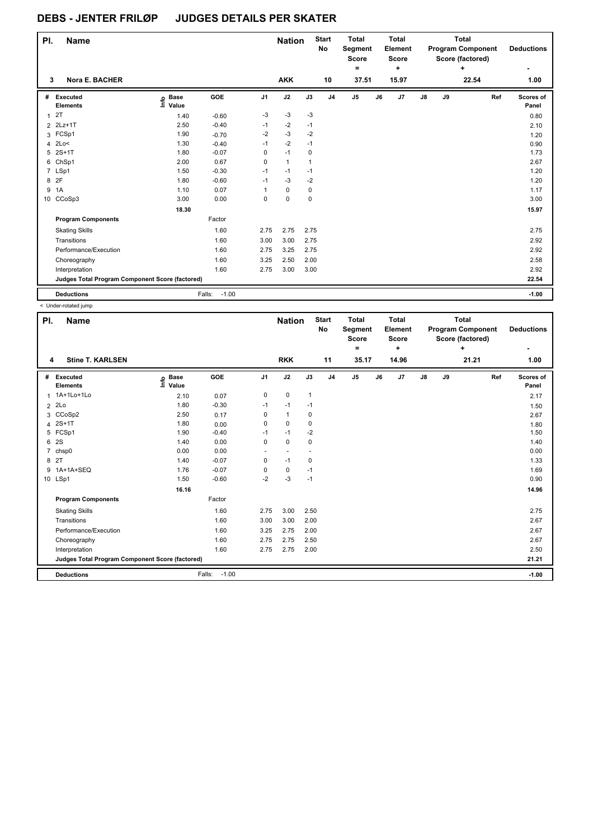| PI.          | <b>Name</b>                                     |                            |                   |                | <b>Nation</b> |              | <b>Start</b><br>No | <b>Total</b><br>Segment<br><b>Score</b><br>۰ |    | <b>Total</b><br>Element<br><b>Score</b><br>÷ |    |    | <b>Total</b><br><b>Program Component</b><br>Score (factored)<br>÷ | <b>Deductions</b>  |
|--------------|-------------------------------------------------|----------------------------|-------------------|----------------|---------------|--------------|--------------------|----------------------------------------------|----|----------------------------------------------|----|----|-------------------------------------------------------------------|--------------------|
| 3            | <b>Nora E. BACHER</b>                           |                            |                   |                | <b>AKK</b>    |              | 10                 | 37.51                                        |    | 15.97                                        |    |    | 22.54                                                             | 1.00               |
| #            | Executed<br><b>Elements</b>                     | <b>Base</b><br>١m<br>Value | GOE               | J <sub>1</sub> | J2            | J3           | J <sub>4</sub>     | J <sub>5</sub>                               | J6 | J7                                           | J8 | J9 | Ref                                                               | Scores of<br>Panel |
| $\mathbf{1}$ | 2T                                              | 1.40                       | $-0.60$           | $-3$           | $-3$          | $-3$         |                    |                                              |    |                                              |    |    |                                                                   | 0.80               |
|              | 2 2Lz+1T                                        | 2.50                       | $-0.40$           | $-1$           | $-2$          | $-1$         |                    |                                              |    |                                              |    |    |                                                                   | 2.10               |
|              | 3 FCSp1                                         | 1.90                       | $-0.70$           | $-2$           | $-3$          | $-2$         |                    |                                              |    |                                              |    |    |                                                                   | 1.20               |
| 4            | 2Lo<                                            | 1.30                       | $-0.40$           | $-1$           | $-2$          | $-1$         |                    |                                              |    |                                              |    |    |                                                                   | 0.90               |
| 5            | $2S+1T$                                         | 1.80                       | $-0.07$           | 0              | $-1$          | 0            |                    |                                              |    |                                              |    |    |                                                                   | 1.73               |
| 6            | ChSp1                                           | 2.00                       | 0.67              | 0              | $\mathbf{1}$  | $\mathbf{1}$ |                    |                                              |    |                                              |    |    |                                                                   | 2.67               |
|              | 7 LSp1                                          | 1.50                       | $-0.30$           | $-1$           | $-1$          | $-1$         |                    |                                              |    |                                              |    |    |                                                                   | 1.20               |
| 8            | 2F                                              | 1.80                       | $-0.60$           | $-1$           | $-3$          | $-2$         |                    |                                              |    |                                              |    |    |                                                                   | 1.20               |
| 9            | 1A                                              | 1.10                       | 0.07              | 1              | 0             | 0            |                    |                                              |    |                                              |    |    |                                                                   | 1.17               |
| 10           | CCoSp3                                          | 3.00                       | 0.00              | 0              | 0             | $\mathbf 0$  |                    |                                              |    |                                              |    |    |                                                                   | 3.00               |
|              |                                                 | 18.30                      |                   |                |               |              |                    |                                              |    |                                              |    |    |                                                                   | 15.97              |
|              | <b>Program Components</b>                       |                            | Factor            |                |               |              |                    |                                              |    |                                              |    |    |                                                                   |                    |
|              | <b>Skating Skills</b>                           |                            | 1.60              | 2.75           | 2.75          | 2.75         |                    |                                              |    |                                              |    |    |                                                                   | 2.75               |
|              | Transitions                                     |                            | 1.60              | 3.00           | 3.00          | 2.75         |                    |                                              |    |                                              |    |    |                                                                   | 2.92               |
|              | Performance/Execution                           |                            | 1.60              | 2.75           | 3.25          | 2.75         |                    |                                              |    |                                              |    |    |                                                                   | 2.92               |
|              | Choreography                                    |                            | 1.60              | 3.25           | 2.50          | 2.00         |                    |                                              |    |                                              |    |    |                                                                   | 2.58               |
|              | Interpretation                                  |                            | 1.60              | 2.75           | 3.00          | 3.00         |                    |                                              |    |                                              |    |    |                                                                   | 2.92               |
|              | Judges Total Program Component Score (factored) |                            |                   |                |               |              |                    |                                              |    |                                              |    |    |                                                                   | 22.54              |
|              | <b>Deductions</b>                               |                            | $-1.00$<br>Falls: |                |               |              |                    |                                              |    |                                              |    |    |                                                                   | $-1.00$            |

< Under-rotated jump

| PI.            | <b>Name</b>                                     |                              |                   |                | <b>Nation</b>            |              | <b>Start</b><br><b>No</b> | <b>Total</b><br>Segment<br><b>Score</b><br>۰ |    | <b>Total</b><br>Element<br><b>Score</b><br>÷ |               |    | <b>Total</b><br><b>Program Component</b><br>Score (factored)<br>÷ |     | <b>Deductions</b>  |
|----------------|-------------------------------------------------|------------------------------|-------------------|----------------|--------------------------|--------------|---------------------------|----------------------------------------------|----|----------------------------------------------|---------------|----|-------------------------------------------------------------------|-----|--------------------|
| 4              | <b>Stine T. KARLSEN</b>                         |                              |                   |                | <b>RKK</b>               |              | 11                        | 35.17                                        |    | 14.96                                        |               |    | 21.21                                                             |     | 1.00               |
| #              | Executed<br><b>Elements</b>                     | <b>Base</b><br>١rfo<br>Value | GOE               | J <sub>1</sub> | J2                       | J3           | J <sub>4</sub>            | J <sub>5</sub>                               | J6 | J7                                           | $\mathsf{J}8$ | J9 |                                                                   | Ref | Scores of<br>Panel |
|                | 1 1A+1Lo+1Lo                                    | 2.10                         | 0.07              | 0              | $\mathbf 0$              | $\mathbf{1}$ |                           |                                              |    |                                              |               |    |                                                                   |     | 2.17               |
| $\overline{2}$ | 2Lo                                             | 1.80                         | $-0.30$           | $-1$           | $-1$                     | $-1$         |                           |                                              |    |                                              |               |    |                                                                   |     | 1.50               |
| 3              | CCoSp2                                          | 2.50                         | 0.17              | 0              | $\mathbf{1}$             | 0            |                           |                                              |    |                                              |               |    |                                                                   |     | 2.67               |
| 4              | $2S+1T$                                         | 1.80                         | 0.00              | 0              | $\mathbf 0$              | $\mathbf 0$  |                           |                                              |    |                                              |               |    |                                                                   |     | 1.80               |
|                | 5 FCSp1                                         | 1.90                         | $-0.40$           | $-1$           | $-1$                     | $-2$         |                           |                                              |    |                                              |               |    |                                                                   |     | 1.50               |
| 6              | 2S                                              | 1.40                         | 0.00              | 0              | $\mathbf 0$              | $\mathbf 0$  |                           |                                              |    |                                              |               |    |                                                                   |     | 1.40               |
| 7              | chsp0                                           | 0.00                         | 0.00              | ٠              | $\overline{\phantom{a}}$ |              |                           |                                              |    |                                              |               |    |                                                                   |     | 0.00               |
|                | 8 2T                                            | 1.40                         | $-0.07$           | 0              | $-1$                     | 0            |                           |                                              |    |                                              |               |    |                                                                   |     | 1.33               |
| 9              | 1A+1A+SEQ                                       | 1.76                         | $-0.07$           | 0              | 0                        | $-1$         |                           |                                              |    |                                              |               |    |                                                                   |     | 1.69               |
|                | 10 LSp1                                         | 1.50                         | $-0.60$           | $-2$           | $-3$                     | $-1$         |                           |                                              |    |                                              |               |    |                                                                   |     | 0.90               |
|                |                                                 | 16.16                        |                   |                |                          |              |                           |                                              |    |                                              |               |    |                                                                   |     | 14.96              |
|                | <b>Program Components</b>                       |                              | Factor            |                |                          |              |                           |                                              |    |                                              |               |    |                                                                   |     |                    |
|                | <b>Skating Skills</b>                           |                              | 1.60              | 2.75           | 3.00                     | 2.50         |                           |                                              |    |                                              |               |    |                                                                   |     | 2.75               |
|                | Transitions                                     |                              | 1.60              | 3.00           | 3.00                     | 2.00         |                           |                                              |    |                                              |               |    |                                                                   |     | 2.67               |
|                | Performance/Execution                           |                              | 1.60              | 3.25           | 2.75                     | 2.00         |                           |                                              |    |                                              |               |    |                                                                   |     | 2.67               |
|                | Choreography                                    |                              | 1.60              | 2.75           | 2.75                     | 2.50         |                           |                                              |    |                                              |               |    |                                                                   |     | 2.67               |
|                | Interpretation                                  |                              | 1.60              | 2.75           | 2.75                     | 2.00         |                           |                                              |    |                                              |               |    |                                                                   |     | 2.50               |
|                | Judges Total Program Component Score (factored) |                              |                   |                |                          |              |                           |                                              |    |                                              |               |    |                                                                   |     | 21.21              |
|                | <b>Deductions</b>                               |                              | $-1.00$<br>Falls: |                |                          |              |                           |                                              |    |                                              |               |    |                                                                   |     | $-1.00$            |
|                |                                                 |                              |                   |                |                          |              |                           |                                              |    |                                              |               |    |                                                                   |     |                    |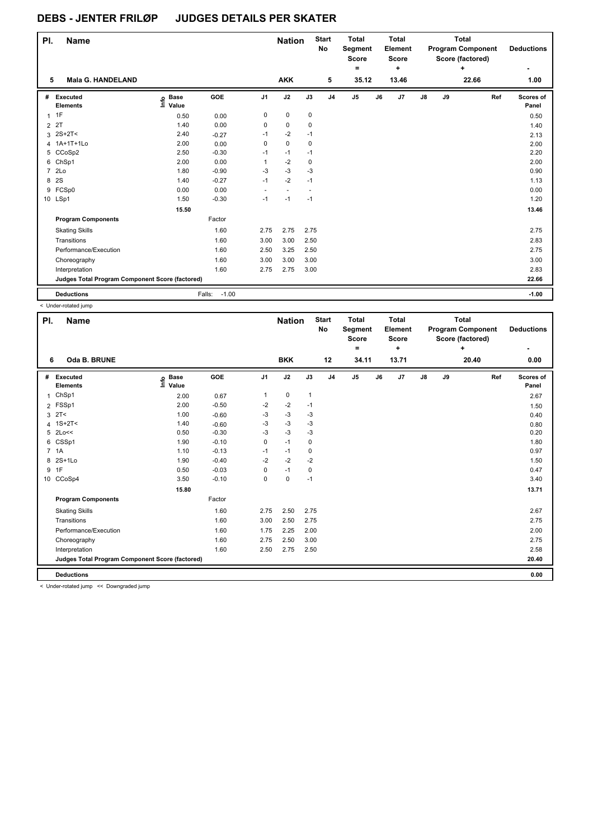| PI.            | <b>Name</b>                                     |                            |                   |                          | <b>Nation</b>            |        | <b>Start</b><br>No | <b>Total</b><br>Segment<br><b>Score</b><br>$\equiv$ |    | <b>Total</b><br>Element<br><b>Score</b><br>÷ |    |    | Total<br><b>Program Component</b><br>Score (factored)<br>٠ | <b>Deductions</b>  |
|----------------|-------------------------------------------------|----------------------------|-------------------|--------------------------|--------------------------|--------|--------------------|-----------------------------------------------------|----|----------------------------------------------|----|----|------------------------------------------------------------|--------------------|
| 5              | <b>Mala G. HANDELAND</b>                        |                            |                   |                          | <b>AKK</b>               |        | 5                  | 35.12                                               |    | 13.46                                        |    |    | 22.66                                                      | 1.00               |
| #              | Executed<br><b>Elements</b>                     | <b>Base</b><br>١m<br>Value | GOE               | J <sub>1</sub>           | J2                       | J3     | J <sub>4</sub>     | J <sub>5</sub>                                      | J6 | J <sub>7</sub>                               | J8 | J9 | Ref                                                        | Scores of<br>Panel |
| $\mathbf{1}$   | 1F                                              | 0.50                       | 0.00              | 0                        | $\mathbf 0$              | 0      |                    |                                                     |    |                                              |    |    |                                                            | 0.50               |
| $\overline{2}$ | 2T                                              | 1.40                       | 0.00              | 0                        | $\mathbf 0$              | 0      |                    |                                                     |    |                                              |    |    |                                                            | 1.40               |
| 3              | 2S+2T<                                          | 2.40                       | $-0.27$           | $-1$                     | $-2$                     | $-1$   |                    |                                                     |    |                                              |    |    |                                                            | 2.13               |
|                | 4 1A+1T+1Lo                                     | 2.00                       | 0.00              | 0                        | $\mathbf 0$              | 0      |                    |                                                     |    |                                              |    |    |                                                            | 2.00               |
| 5              | CCoSp2                                          | 2.50                       | $-0.30$           | $-1$                     | $-1$                     | $-1$   |                    |                                                     |    |                                              |    |    |                                                            | 2.20               |
| 6              | ChSp1                                           | 2.00                       | 0.00              | 1                        | $-2$                     | 0      |                    |                                                     |    |                                              |    |    |                                                            | 2.00               |
| $\overline{7}$ | 2Lo                                             | 1.80                       | $-0.90$           | $-3$                     | $-3$                     | $-3$   |                    |                                                     |    |                                              |    |    |                                                            | 0.90               |
| 8              | 2S                                              | 1.40                       | $-0.27$           | $-1$                     | $-2$                     | $-1$   |                    |                                                     |    |                                              |    |    |                                                            | 1.13               |
| 9              | FCSp0                                           | 0.00                       | 0.00              | $\overline{\phantom{a}}$ | $\overline{\phantom{a}}$ | $\sim$ |                    |                                                     |    |                                              |    |    |                                                            | 0.00               |
|                | 10 LSp1                                         | 1.50                       | $-0.30$           | $-1$                     | $-1$                     | $-1$   |                    |                                                     |    |                                              |    |    |                                                            | 1.20               |
|                |                                                 | 15.50                      |                   |                          |                          |        |                    |                                                     |    |                                              |    |    |                                                            | 13.46              |
|                | <b>Program Components</b>                       |                            | Factor            |                          |                          |        |                    |                                                     |    |                                              |    |    |                                                            |                    |
|                | <b>Skating Skills</b>                           |                            | 1.60              | 2.75                     | 2.75                     | 2.75   |                    |                                                     |    |                                              |    |    |                                                            | 2.75               |
|                | Transitions                                     |                            | 1.60              | 3.00                     | 3.00                     | 2.50   |                    |                                                     |    |                                              |    |    |                                                            | 2.83               |
|                | Performance/Execution                           |                            | 1.60              | 2.50                     | 3.25                     | 2.50   |                    |                                                     |    |                                              |    |    |                                                            | 2.75               |
|                | Choreography                                    |                            | 1.60              | 3.00                     | 3.00                     | 3.00   |                    |                                                     |    |                                              |    |    |                                                            | 3.00               |
|                | Interpretation                                  |                            | 1.60              | 2.75                     | 2.75                     | 3.00   |                    |                                                     |    |                                              |    |    |                                                            | 2.83               |
|                | Judges Total Program Component Score (factored) |                            |                   |                          |                          |        |                    |                                                     |    |                                              |    |    |                                                            | 22.66              |
|                | <b>Deductions</b>                               |                            | $-1.00$<br>Falls: |                          |                          |        |                    |                                                     |    |                                              |    |    |                                                            | $-1.00$            |

< Under-rotated jump

| PI. | <b>Name</b>                                     |                              |         |                | <b>Nation</b> |              | <b>Start</b><br>No | <b>Total</b><br>Segment<br><b>Score</b><br>۰ |    | <b>Total</b><br>Element<br><b>Score</b><br>٠ |               |    | <b>Total</b><br><b>Program Component</b><br>Score (factored)<br>÷ |     | <b>Deductions</b>  |
|-----|-------------------------------------------------|------------------------------|---------|----------------|---------------|--------------|--------------------|----------------------------------------------|----|----------------------------------------------|---------------|----|-------------------------------------------------------------------|-----|--------------------|
| 6   | Oda B. BRUNE                                    |                              |         |                | <b>BKK</b>    |              | 12                 | 34.11                                        |    | 13.71                                        |               |    | 20.40                                                             |     | 0.00               |
| #   | Executed<br><b>Elements</b>                     | <b>Base</b><br>١mfo<br>Value | GOE     | J <sub>1</sub> | J2            | J3           | J <sub>4</sub>     | J5                                           | J6 | J7                                           | $\mathsf{J}8$ | J9 |                                                                   | Ref | Scores of<br>Panel |
| 1   | ChSp1                                           | 2.00                         | 0.67    | 1              | $\mathbf 0$   | $\mathbf{1}$ |                    |                                              |    |                                              |               |    |                                                                   |     | 2.67               |
|     | 2 FSSp1                                         | 2.00                         | $-0.50$ | $-2$           | $-2$          | $-1$         |                    |                                              |    |                                              |               |    |                                                                   |     | 1.50               |
|     | $3 \quad 2T <$                                  | 1.00                         | $-0.60$ | $-3$           | $-3$          | $-3$         |                    |                                              |    |                                              |               |    |                                                                   |     | 0.40               |
|     | 4 $1S+2T<$                                      | 1.40                         | $-0.60$ | $-3$           | $-3$          | -3           |                    |                                              |    |                                              |               |    |                                                                   |     | 0.80               |
|     | 5 2Lo<<                                         | 0.50                         | $-0.30$ | $-3$           | $-3$          | $-3$         |                    |                                              |    |                                              |               |    |                                                                   |     | 0.20               |
|     | 6 CSSp1                                         | 1.90                         | $-0.10$ | 0              | $-1$          | 0            |                    |                                              |    |                                              |               |    |                                                                   |     | 1.80               |
|     | 7 1A                                            | 1.10                         | $-0.13$ | $-1$           | $-1$          | 0            |                    |                                              |    |                                              |               |    |                                                                   |     | 0.97               |
|     | 8 2S+1Lo                                        | 1.90                         | $-0.40$ | $-2$           | $-2$          | $-2$         |                    |                                              |    |                                              |               |    |                                                                   |     | 1.50               |
| 9   | 1F                                              | 0.50                         | $-0.03$ | 0              | $-1$          | 0            |                    |                                              |    |                                              |               |    |                                                                   |     | 0.47               |
|     | 10 CCoSp4                                       | 3.50                         | $-0.10$ | 0              | $\mathbf 0$   | $-1$         |                    |                                              |    |                                              |               |    |                                                                   |     | 3.40               |
|     |                                                 | 15.80                        |         |                |               |              |                    |                                              |    |                                              |               |    |                                                                   |     | 13.71              |
|     | <b>Program Components</b>                       |                              | Factor  |                |               |              |                    |                                              |    |                                              |               |    |                                                                   |     |                    |
|     | <b>Skating Skills</b>                           |                              | 1.60    | 2.75           | 2.50          | 2.75         |                    |                                              |    |                                              |               |    |                                                                   |     | 2.67               |
|     | Transitions                                     |                              | 1.60    | 3.00           | 2.50          | 2.75         |                    |                                              |    |                                              |               |    |                                                                   |     | 2.75               |
|     | Performance/Execution                           |                              | 1.60    | 1.75           | 2.25          | 2.00         |                    |                                              |    |                                              |               |    |                                                                   |     | 2.00               |
|     | Choreography                                    |                              | 1.60    | 2.75           | 2.50          | 3.00         |                    |                                              |    |                                              |               |    |                                                                   |     | 2.75               |
|     | Interpretation                                  |                              | 1.60    | 2.50           | 2.75          | 2.50         |                    |                                              |    |                                              |               |    |                                                                   |     | 2.58               |
|     | Judges Total Program Component Score (factored) |                              |         |                |               |              |                    |                                              |    |                                              |               |    |                                                                   |     | 20.40              |
|     | <b>Deductions</b>                               |                              |         |                |               |              |                    |                                              |    |                                              |               |    |                                                                   |     | 0.00               |
|     | Lindor retated iumn - 22 Deuroraded iumn        |                              |         |                |               |              |                    |                                              |    |                                              |               |    |                                                                   |     |                    |

< Under-rotated jump << Downgraded jump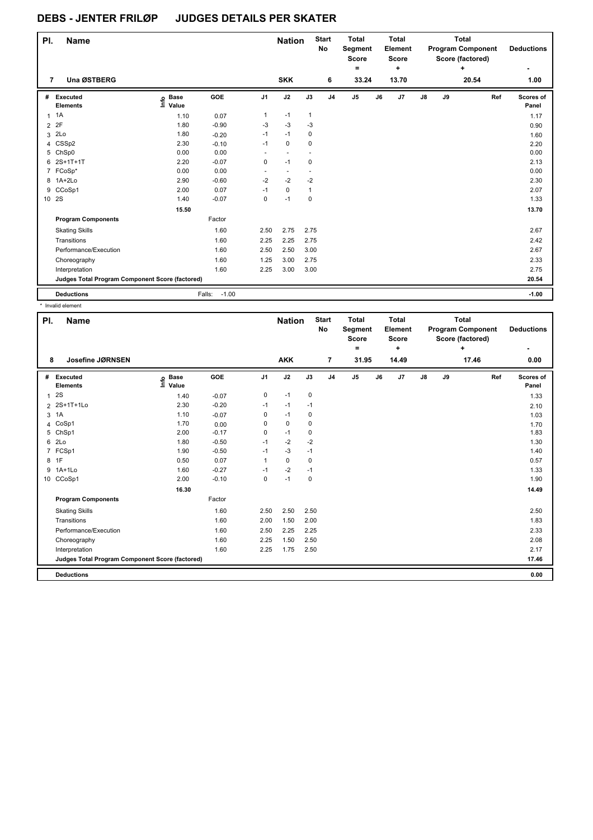| PI.            | Name                                            |                              |                   |                          | <b>Nation</b>            |                          | <b>Start</b><br><b>No</b> | <b>Total</b><br>Segment<br><b>Score</b><br>$=$ |    | <b>Total</b><br>Element<br><b>Score</b><br>÷ |    |    | Total<br><b>Program Component</b><br>Score (factored)<br>÷ | <b>Deductions</b>  |
|----------------|-------------------------------------------------|------------------------------|-------------------|--------------------------|--------------------------|--------------------------|---------------------------|------------------------------------------------|----|----------------------------------------------|----|----|------------------------------------------------------------|--------------------|
| 7              | <b>Una ØSTBERG</b>                              |                              |                   |                          | <b>SKK</b>               |                          | 6                         | 33.24                                          |    | 13.70                                        |    |    | 20.54                                                      | 1.00               |
| #              | Executed<br><b>Elements</b>                     | <b>Base</b><br>١mfo<br>Value | GOE               | J <sub>1</sub>           | J2                       | J3                       | J <sub>4</sub>            | J <sub>5</sub>                                 | J6 | J <sub>7</sub>                               | J8 | J9 | Ref                                                        | Scores of<br>Panel |
| $\mathbf{1}$   | 1A                                              | 1.10                         | 0.07              | $\mathbf{1}$             | $-1$                     | $\mathbf{1}$             |                           |                                                |    |                                              |    |    |                                                            | 1.17               |
| $\overline{2}$ | 2F                                              | 1.80                         | $-0.90$           | $-3$                     | $-3$                     | $-3$                     |                           |                                                |    |                                              |    |    |                                                            | 0.90               |
| 3              | 2Lo                                             | 1.80                         | $-0.20$           | $-1$                     | $-1$                     | 0                        |                           |                                                |    |                                              |    |    |                                                            | 1.60               |
| 4              | CSSp2                                           | 2.30                         | $-0.10$           | $-1$                     | $\mathbf 0$              | $\mathbf 0$              |                           |                                                |    |                                              |    |    |                                                            | 2.20               |
| 5              | ChSp0                                           | 0.00                         | 0.00              | ٠                        | $\overline{a}$           | $\overline{\phantom{a}}$ |                           |                                                |    |                                              |    |    |                                                            | 0.00               |
| 6              | 2S+1T+1T                                        | 2.20                         | $-0.07$           | 0                        | $-1$                     | $\mathbf 0$              |                           |                                                |    |                                              |    |    |                                                            | 2.13               |
|                | 7 FCoSp*                                        | 0.00                         | 0.00              | $\overline{\phantom{a}}$ | $\overline{\phantom{a}}$ | $\overline{\phantom{a}}$ |                           |                                                |    |                                              |    |    |                                                            | 0.00               |
| 8              | $1A+2Lo$                                        | 2.90                         | $-0.60$           | $-2$                     | $-2$                     | $-2$                     |                           |                                                |    |                                              |    |    |                                                            | 2.30               |
| 9              | CCoSp1                                          | 2.00                         | 0.07              | $-1$                     | $\mathbf 0$              | $\mathbf{1}$             |                           |                                                |    |                                              |    |    |                                                            | 2.07               |
|                | 10 2S                                           | 1.40                         | $-0.07$           | 0                        | $-1$                     | $\mathbf 0$              |                           |                                                |    |                                              |    |    |                                                            | 1.33               |
|                |                                                 | 15.50                        |                   |                          |                          |                          |                           |                                                |    |                                              |    |    |                                                            | 13.70              |
|                | <b>Program Components</b>                       |                              | Factor            |                          |                          |                          |                           |                                                |    |                                              |    |    |                                                            |                    |
|                | <b>Skating Skills</b>                           |                              | 1.60              | 2.50                     | 2.75                     | 2.75                     |                           |                                                |    |                                              |    |    |                                                            | 2.67               |
|                | Transitions                                     |                              | 1.60              | 2.25                     | 2.25                     | 2.75                     |                           |                                                |    |                                              |    |    |                                                            | 2.42               |
|                | Performance/Execution                           |                              | 1.60              | 2.50                     | 2.50                     | 3.00                     |                           |                                                |    |                                              |    |    |                                                            | 2.67               |
|                | Choreography                                    |                              | 1.60              | 1.25                     | 3.00                     | 2.75                     |                           |                                                |    |                                              |    |    |                                                            | 2.33               |
|                | Interpretation                                  |                              | 1.60              | 2.25                     | 3.00                     | 3.00                     |                           |                                                |    |                                              |    |    |                                                            | 2.75               |
|                | Judges Total Program Component Score (factored) |                              |                   |                          |                          |                          |                           |                                                |    |                                              |    |    |                                                            | 20.54              |
|                | <b>Deductions</b>                               |                              | $-1.00$<br>Falls: |                          |                          |                          |                           |                                                |    |                                              |    |    |                                                            | $-1.00$            |

\* Invalid element

| PI. | <b>Name</b>                                     |                            |         |                | <b>Nation</b> |             | <b>Start</b><br><b>No</b> | <b>Total</b><br>Segment<br><b>Score</b><br>۰ |    | <b>Total</b><br>Element<br><b>Score</b><br>÷ |    |    | <b>Total</b><br><b>Program Component</b><br>Score (factored)<br>÷ |     | <b>Deductions</b>  |
|-----|-------------------------------------------------|----------------------------|---------|----------------|---------------|-------------|---------------------------|----------------------------------------------|----|----------------------------------------------|----|----|-------------------------------------------------------------------|-----|--------------------|
| 8   | Josefine JØRNSEN                                |                            |         |                | <b>AKK</b>    |             | $\overline{7}$            | 31.95                                        |    | 14.49                                        |    |    | 17.46                                                             |     | 0.00               |
| #   | Executed<br><b>Elements</b>                     | e Base<br>E Value<br>Value | GOE     | J <sub>1</sub> | J2            | J3          | J <sub>4</sub>            | J <sub>5</sub>                               | J6 | J7                                           | J8 | J9 |                                                                   | Ref | Scores of<br>Panel |
| 1   | 2S                                              | 1.40                       | $-0.07$ | 0              | $-1$          | 0           |                           |                                              |    |                                              |    |    |                                                                   |     | 1.33               |
|     | 2 2S+1T+1Lo                                     | 2.30                       | $-0.20$ | $-1$           | $-1$          | $-1$        |                           |                                              |    |                                              |    |    |                                                                   |     | 2.10               |
| 3   | 1A                                              | 1.10                       | $-0.07$ | 0              | $-1$          | 0           |                           |                                              |    |                                              |    |    |                                                                   |     | 1.03               |
|     | 4 CoSp1                                         | 1.70                       | 0.00    | 0              | $\mathbf 0$   | $\mathbf 0$ |                           |                                              |    |                                              |    |    |                                                                   |     | 1.70               |
|     | 5 ChSp1                                         | 2.00                       | $-0.17$ | 0              | $-1$          | 0           |                           |                                              |    |                                              |    |    |                                                                   |     | 1.83               |
| 6   | 2Lo                                             | 1.80                       | $-0.50$ | $-1$           | $-2$          | $-2$        |                           |                                              |    |                                              |    |    |                                                                   |     | 1.30               |
| 7   | FCSp1                                           | 1.90                       | $-0.50$ | $-1$           | $-3$          | $-1$        |                           |                                              |    |                                              |    |    |                                                                   |     | 1.40               |
|     | 8 1F                                            | 0.50                       | 0.07    | 1              | $\mathbf{0}$  | 0           |                           |                                              |    |                                              |    |    |                                                                   |     | 0.57               |
|     | 9 1A+1Lo                                        | 1.60                       | $-0.27$ | $-1$           | $-2$          | $-1$        |                           |                                              |    |                                              |    |    |                                                                   |     | 1.33               |
|     | 10 CCoSp1                                       | 2.00                       | $-0.10$ | 0              | $-1$          | $\pmb{0}$   |                           |                                              |    |                                              |    |    |                                                                   |     | 1.90               |
|     |                                                 | 16.30                      |         |                |               |             |                           |                                              |    |                                              |    |    |                                                                   |     | 14.49              |
|     | <b>Program Components</b>                       |                            | Factor  |                |               |             |                           |                                              |    |                                              |    |    |                                                                   |     |                    |
|     | <b>Skating Skills</b>                           |                            | 1.60    | 2.50           | 2.50          | 2.50        |                           |                                              |    |                                              |    |    |                                                                   |     | 2.50               |
|     | Transitions                                     |                            | 1.60    | 2.00           | 1.50          | 2.00        |                           |                                              |    |                                              |    |    |                                                                   |     | 1.83               |
|     | Performance/Execution                           |                            | 1.60    | 2.50           | 2.25          | 2.25        |                           |                                              |    |                                              |    |    |                                                                   |     | 2.33               |
|     | Choreography                                    |                            | 1.60    | 2.25           | 1.50          | 2.50        |                           |                                              |    |                                              |    |    |                                                                   |     | 2.08               |
|     | Interpretation                                  |                            | 1.60    | 2.25           | 1.75          | 2.50        |                           |                                              |    |                                              |    |    |                                                                   |     | 2.17               |
|     | Judges Total Program Component Score (factored) |                            |         |                |               |             |                           |                                              |    |                                              |    |    |                                                                   |     | 17.46              |
|     | <b>Deductions</b>                               |                            |         |                |               |             |                           |                                              |    |                                              |    |    |                                                                   |     | 0.00               |
|     |                                                 |                            |         |                |               |             |                           |                                              |    |                                              |    |    |                                                                   |     |                    |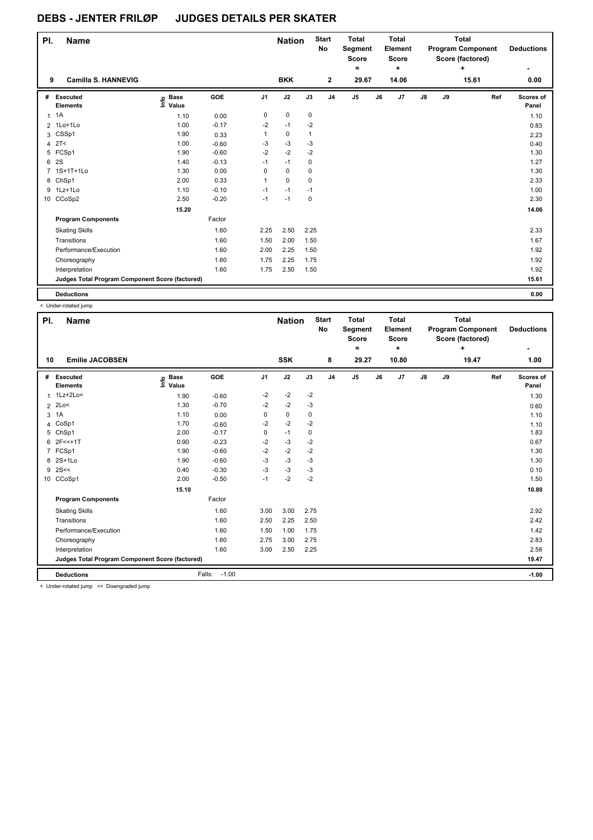| PI.            | <b>Name</b>                                     |                                  |         |                | <b>Nation</b> |             | <b>Start</b><br><b>No</b> | <b>Total</b><br>Segment<br><b>Score</b><br>۰ |    | <b>Total</b><br>Element<br><b>Score</b><br>٠ |    |    | <b>Total</b><br><b>Program Component</b><br>Score (factored)<br>٠ | <b>Deductions</b>         |
|----------------|-------------------------------------------------|----------------------------------|---------|----------------|---------------|-------------|---------------------------|----------------------------------------------|----|----------------------------------------------|----|----|-------------------------------------------------------------------|---------------------------|
| 9              | <b>Camilla S. HANNEVIG</b>                      |                                  |         |                | <b>BKK</b>    |             | $\mathbf{2}$              | 29.67                                        |    | 14.06                                        |    |    | 15.61                                                             | 0.00                      |
| #              | Executed<br><b>Elements</b>                     | <b>Base</b><br>e Base<br>E Value | GOE     | J <sub>1</sub> | J2            | J3          | J <sub>4</sub>            | J <sub>5</sub>                               | J6 | J <sub>7</sub>                               | J8 | J9 | Ref                                                               | <b>Scores of</b><br>Panel |
| 1              | 1A                                              | 1.10                             | 0.00    | 0              | $\mathbf 0$   | $\mathbf 0$ |                           |                                              |    |                                              |    |    |                                                                   | 1.10                      |
|                | 2 1Lo+1Lo                                       | 1.00                             | $-0.17$ | $-2$           | $-1$          | $-2$        |                           |                                              |    |                                              |    |    |                                                                   | 0.83                      |
| 3              | CSSp1                                           | 1.90                             | 0.33    | 1              | $\mathbf 0$   | 1           |                           |                                              |    |                                              |    |    |                                                                   | 2.23                      |
| $\overline{4}$ | 2T<                                             | 1.00                             | $-0.60$ | -3             | $-3$          | $-3$        |                           |                                              |    |                                              |    |    |                                                                   | 0.40                      |
|                | 5 FCSp1                                         | 1.90                             | $-0.60$ | $-2$           | $-2$          | $-2$        |                           |                                              |    |                                              |    |    |                                                                   | 1.30                      |
| 6              | <b>2S</b>                                       | 1.40                             | $-0.13$ | $-1$           | $-1$          | $\mathbf 0$ |                           |                                              |    |                                              |    |    |                                                                   | 1.27                      |
| $\overline{7}$ | 1S+1T+1Lo                                       | 1.30                             | 0.00    | 0              | $\mathbf 0$   | 0           |                           |                                              |    |                                              |    |    |                                                                   | 1.30                      |
|                | 8 ChSp1                                         | 2.00                             | 0.33    | 1              | $\Omega$      | 0           |                           |                                              |    |                                              |    |    |                                                                   | 2.33                      |
|                | 9 1Lz+1Lo                                       | 1.10                             | $-0.10$ | $-1$           | $-1$          | $-1$        |                           |                                              |    |                                              |    |    |                                                                   | 1.00                      |
|                | 10 CCoSp2                                       | 2.50                             | $-0.20$ | $-1$           | $-1$          | $\mathbf 0$ |                           |                                              |    |                                              |    |    |                                                                   | 2.30                      |
|                |                                                 | 15.20                            |         |                |               |             |                           |                                              |    |                                              |    |    |                                                                   | 14.06                     |
|                | <b>Program Components</b>                       |                                  | Factor  |                |               |             |                           |                                              |    |                                              |    |    |                                                                   |                           |
|                | <b>Skating Skills</b>                           |                                  | 1.60    | 2.25           | 2.50          | 2.25        |                           |                                              |    |                                              |    |    |                                                                   | 2.33                      |
|                | Transitions                                     |                                  | 1.60    | 1.50           | 2.00          | 1.50        |                           |                                              |    |                                              |    |    |                                                                   | 1.67                      |
|                | Performance/Execution                           |                                  | 1.60    | 2.00           | 2.25          | 1.50        |                           |                                              |    |                                              |    |    |                                                                   | 1.92                      |
|                | Choreography                                    |                                  | 1.60    | 1.75           | 2.25          | 1.75        |                           |                                              |    |                                              |    |    |                                                                   | 1.92                      |
|                | Interpretation                                  |                                  | 1.60    | 1.75           | 2.50          | 1.50        |                           |                                              |    |                                              |    |    |                                                                   | 1.92                      |
|                | Judges Total Program Component Score (factored) |                                  |         |                |               |             |                           |                                              |    |                                              |    |    |                                                                   | 15.61                     |
|                | <b>Deductions</b>                               |                                  |         |                |               |             |                           |                                              |    |                                              |    |    |                                                                   | 0.00                      |

< Under-rotated jump

| PI. | <b>Name</b>                                     |                             |                   |                | <b>Nation</b> |             | <b>Start</b><br>No | <b>Total</b><br>Segment<br><b>Score</b><br>= |    | <b>Total</b><br>Element<br><b>Score</b><br>٠ |               |    | <b>Total</b><br><b>Program Component</b><br>Score (factored)<br>+ |     | <b>Deductions</b>  |
|-----|-------------------------------------------------|-----------------------------|-------------------|----------------|---------------|-------------|--------------------|----------------------------------------------|----|----------------------------------------------|---------------|----|-------------------------------------------------------------------|-----|--------------------|
| 10  | <b>Emilie JACOBSEN</b>                          |                             |                   |                | <b>SSK</b>    |             | 8                  | 29.27                                        |    | 10.80                                        |               |    | 19.47                                                             |     | 1.00               |
| #   | Executed<br><b>Elements</b>                     | <b>Base</b><br>١ŕ٥<br>Value | GOE               | J <sub>1</sub> | J2            | J3          | J <sub>4</sub>     | J5                                           | J6 | J7                                           | $\mathsf{J}8$ | J9 |                                                                   | Ref | Scores of<br>Panel |
| 1   | 1Lz+2Lo<                                        | 1.90                        | $-0.60$           | $-2$           | $-2$          | $-2$        |                    |                                              |    |                                              |               |    |                                                                   |     | 1.30               |
|     | $2$ 2Lo<                                        | 1.30                        | $-0.70$           | $-2$           | $-2$          | $-3$        |                    |                                              |    |                                              |               |    |                                                                   |     | 0.60               |
| 3   | 1A                                              | 1.10                        | 0.00              | 0              | $\pmb{0}$     | 0           |                    |                                              |    |                                              |               |    |                                                                   |     | 1.10               |
|     | 4 CoSp1                                         | 1.70                        | $-0.60$           | $-2$           | $-2$          | $-2$        |                    |                                              |    |                                              |               |    |                                                                   |     | 1.10               |
|     | 5 ChSp1                                         | 2.00                        | $-0.17$           | 0              | $-1$          | $\mathbf 0$ |                    |                                              |    |                                              |               |    |                                                                   |     | 1.83               |
|     | 6 2F<<+1T                                       | 0.90                        | $-0.23$           | $-2$           | $-3$          | $-2$        |                    |                                              |    |                                              |               |    |                                                                   |     | 0.67               |
|     | 7 FCSp1                                         | 1.90                        | $-0.60$           | $-2$           | $-2$          | $-2$        |                    |                                              |    |                                              |               |    |                                                                   |     | 1.30               |
|     | 8 2S+1Lo                                        | 1.90                        | $-0.60$           | $-3$           | $-3$          | $-3$        |                    |                                              |    |                                              |               |    |                                                                   |     | 1.30               |
|     | $9$ 2S <<                                       | 0.40                        | $-0.30$           | $-3$           | $-3$          | $-3$        |                    |                                              |    |                                              |               |    |                                                                   |     | 0.10               |
|     | 10 CCoSp1                                       | 2.00                        | $-0.50$           | $-1$           | $-2$          | -2          |                    |                                              |    |                                              |               |    |                                                                   |     | 1.50               |
|     |                                                 | 15.10                       |                   |                |               |             |                    |                                              |    |                                              |               |    |                                                                   |     | 10.80              |
|     | <b>Program Components</b>                       |                             | Factor            |                |               |             |                    |                                              |    |                                              |               |    |                                                                   |     |                    |
|     | <b>Skating Skills</b>                           |                             | 1.60              | 3.00           | 3.00          | 2.75        |                    |                                              |    |                                              |               |    |                                                                   |     | 2.92               |
|     | Transitions                                     |                             | 1.60              | 2.50           | 2.25          | 2.50        |                    |                                              |    |                                              |               |    |                                                                   |     | 2.42               |
|     | Performance/Execution                           |                             | 1.60              | 1.50           | 1.00          | 1.75        |                    |                                              |    |                                              |               |    |                                                                   |     | 1.42               |
|     | Choreography                                    |                             | 1.60              | 2.75           | 3.00          | 2.75        |                    |                                              |    |                                              |               |    |                                                                   |     | 2.83               |
|     | Interpretation                                  |                             | 1.60              | 3.00           | 2.50          | 2.25        |                    |                                              |    |                                              |               |    |                                                                   |     | 2.58               |
|     | Judges Total Program Component Score (factored) |                             |                   |                |               |             |                    |                                              |    |                                              |               |    |                                                                   |     | 19.47              |
|     | <b>Deductions</b>                               |                             | $-1.00$<br>Falls: |                |               |             |                    |                                              |    |                                              |               |    |                                                                   |     | $-1.00$            |
|     | < Under-rotated jumn << Downgraded jumn         |                             |                   |                |               |             |                    |                                              |    |                                              |               |    |                                                                   |     |                    |

< Under-rotated jump << Downgraded jump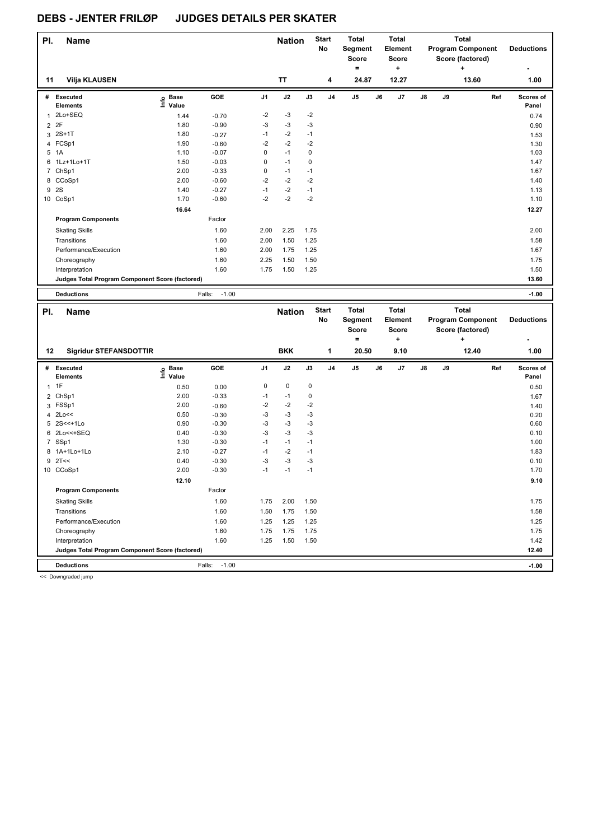| PI.            | <b>Name</b>                                     |                   |                   |                | <b>Nation</b> |           | <b>Start</b><br>No | <b>Total</b><br>Segment<br><b>Score</b><br>= |    | <b>Total</b><br>Element<br><b>Score</b><br>٠ |    |    | <b>Total</b><br><b>Program Component</b><br>Score (factored)<br>٠ | <b>Deductions</b>  |
|----------------|-------------------------------------------------|-------------------|-------------------|----------------|---------------|-----------|--------------------|----------------------------------------------|----|----------------------------------------------|----|----|-------------------------------------------------------------------|--------------------|
| 11             | <b>Vilja KLAUSEN</b>                            |                   |                   |                | <b>TT</b>     |           | 4                  | 24.87                                        |    | 12.27                                        |    |    | 13.60                                                             | 1.00               |
| #              | Executed<br><b>Elements</b>                     | e Base<br>E Value | GOE               | J <sub>1</sub> | J2            | J3        | J <sub>4</sub>     | J <sub>5</sub>                               | J6 | J7                                           | J8 | J9 | Ref                                                               | Scores of<br>Panel |
| 1              | 2Lo+SEQ                                         | 1.44              | $-0.70$           | $-2$           | $-3$          | $-2$      |                    |                                              |    |                                              |    |    |                                                                   | 0.74               |
| $\overline{2}$ | 2F                                              | 1.80              | $-0.90$           | $-3$           | $-3$          | $-3$      |                    |                                              |    |                                              |    |    |                                                                   | 0.90               |
| 3              | $2S+1T$                                         | 1.80              | $-0.27$           | $-1$           | $-2$          | $-1$      |                    |                                              |    |                                              |    |    |                                                                   | 1.53               |
|                | 4 FCSp1                                         | 1.90              | $-0.60$           | $-2$           | $-2$          | $-2$      |                    |                                              |    |                                              |    |    |                                                                   | 1.30               |
| 5              | 1A                                              | 1.10              | $-0.07$           | 0              | $-1$          | $\pmb{0}$ |                    |                                              |    |                                              |    |    |                                                                   | 1.03               |
| 6              | 1Lz+1Lo+1T                                      | 1.50              | $-0.03$           | 0              | $-1$          | 0         |                    |                                              |    |                                              |    |    |                                                                   | 1.47               |
| 7              | ChSp1                                           | 2.00              | $-0.33$           | 0              | $-1$          | $-1$      |                    |                                              |    |                                              |    |    |                                                                   | 1.67               |
| 8              | CCoSp1                                          | 2.00              | $-0.60$           | $-2$           | $-2$          | $-2$      |                    |                                              |    |                                              |    |    |                                                                   | 1.40               |
| 9              | 2S                                              | 1.40              | $-0.27$           | $-1$           | $-2$          | $-1$      |                    |                                              |    |                                              |    |    |                                                                   | 1.13               |
|                | 10 CoSp1                                        | 1.70              | $-0.60$           | $-2$           | $-2$          | $-2$      |                    |                                              |    |                                              |    |    |                                                                   | 1.10               |
|                |                                                 | 16.64             |                   |                |               |           |                    |                                              |    |                                              |    |    |                                                                   | 12.27              |
|                | <b>Program Components</b>                       |                   | Factor            |                |               |           |                    |                                              |    |                                              |    |    |                                                                   |                    |
|                | <b>Skating Skills</b>                           |                   | 1.60              | 2.00           | 2.25          | 1.75      |                    |                                              |    |                                              |    |    |                                                                   | 2.00               |
|                | Transitions                                     |                   | 1.60              | 2.00           | 1.50          | 1.25      |                    |                                              |    |                                              |    |    |                                                                   | 1.58               |
|                | Performance/Execution                           |                   | 1.60              | 2.00           | 1.75          | 1.25      |                    |                                              |    |                                              |    |    |                                                                   | 1.67               |
|                | Choreography                                    |                   | 1.60              | 2.25           | 1.50          | 1.50      |                    |                                              |    |                                              |    |    |                                                                   | 1.75               |
|                | Interpretation                                  |                   | 1.60              | 1.75           | 1.50          | 1.25      |                    |                                              |    |                                              |    |    |                                                                   | 1.50               |
|                | Judges Total Program Component Score (factored) |                   |                   |                |               |           |                    |                                              |    |                                              |    |    |                                                                   | 13.60              |
|                | <b>Deductions</b>                               |                   | $-1.00$<br>Falls: |                |               |           |                    |                                              |    |                                              |    |    |                                                                   | $-1.00$            |

| <b>BKK</b><br>12.40<br><b>Sigridur STEFANSDOTTIR</b><br>20.50<br>9.10<br>1.00<br>12<br>1<br>GOE<br>J2<br>J3<br>J <sub>5</sub><br>$\mathsf{J}8$<br>J9<br>J <sub>1</sub><br>J <sub>4</sub><br>J6<br>J7<br>Ref<br>Executed<br><b>Base</b><br>Scores of<br>#<br>١nf٥<br>Value<br>Panel<br><b>Elements</b><br>1F<br>$\mathbf 0$<br>$\mathbf 0$<br>0<br>0.50<br>0.00<br>0.50<br>1<br>2.00<br>$-0.33$<br>ChSp1<br>$-1$<br>$-1$<br>0<br>1.67<br>2<br>FSSp1<br>2.00<br>$-2$<br>$-2$<br>$-2$<br>$-0.60$<br>3<br>1.40<br>$-3$<br>2Lo<<<br>-3<br>$-3$<br>0.50<br>$-0.30$<br>0.20<br>4<br>$-3$<br>$-3$<br>5 2S<<+1Lo<br>0.90<br>$-0.30$<br>$-3$<br>0.60<br>$-0.30$<br>$-3$<br>$-3$<br>$-3$<br>2Lo<<+SEQ<br>0.40<br>0.10<br>6<br>SSp1<br>1.30<br>$-0.30$<br>$-1$<br>$-1$<br>1.00<br>$\overline{7}$<br>$-1$<br>$-2$<br>1A+1Lo+1Lo<br>2.10<br>$-0.27$<br>$-1$<br>1.83<br>$-1$<br>8<br>$-3$<br>2T<<<br>$-0.30$<br>$-3$<br>$-3$<br>0.40<br>0.10<br>9<br>2.00<br>$-0.30$<br>$-1$<br>CCoSp1<br>$-1$<br>$-1$<br>1.70<br>10<br>12.10<br>9.10<br><b>Program Components</b><br>Factor<br>2.00<br>1.60<br>1.75<br>1.50<br><b>Skating Skills</b><br>1.75<br>1.60<br>1.50<br>1.75<br>1.50<br>1.58<br>Transitions<br>Performance/Execution<br>1.25<br>1.25<br>1.60<br>1.25<br>1.25<br>1.75<br>1.75<br>1.60<br>1.75<br>1.75<br>Choreography<br>1.60<br>1.50<br>Interpretation<br>1.25<br>1.50<br>1.42<br>12.40<br>Judges Total Program Component Score (factored)<br>$-1.00$<br><b>Deductions</b><br>$-1.00$<br>Falls: | PI. | <b>Name</b> |  | <b>Nation</b> | <b>Start</b><br>No | <b>Total</b><br>Segment<br><b>Score</b><br>٠ | <b>Total</b><br>Element<br><b>Score</b><br>÷ |  | <b>Total</b><br><b>Program Component</b><br>Score (factored)<br>÷ | <b>Deductions</b> |
|-------------------------------------------------------------------------------------------------------------------------------------------------------------------------------------------------------------------------------------------------------------------------------------------------------------------------------------------------------------------------------------------------------------------------------------------------------------------------------------------------------------------------------------------------------------------------------------------------------------------------------------------------------------------------------------------------------------------------------------------------------------------------------------------------------------------------------------------------------------------------------------------------------------------------------------------------------------------------------------------------------------------------------------------------------------------------------------------------------------------------------------------------------------------------------------------------------------------------------------------------------------------------------------------------------------------------------------------------------------------------------------------------------------------------------------------------------------------------------------------|-----|-------------|--|---------------|--------------------|----------------------------------------------|----------------------------------------------|--|-------------------------------------------------------------------|-------------------|
|                                                                                                                                                                                                                                                                                                                                                                                                                                                                                                                                                                                                                                                                                                                                                                                                                                                                                                                                                                                                                                                                                                                                                                                                                                                                                                                                                                                                                                                                                           |     |             |  |               |                    |                                              |                                              |  |                                                                   |                   |
|                                                                                                                                                                                                                                                                                                                                                                                                                                                                                                                                                                                                                                                                                                                                                                                                                                                                                                                                                                                                                                                                                                                                                                                                                                                                                                                                                                                                                                                                                           |     |             |  |               |                    |                                              |                                              |  |                                                                   |                   |
|                                                                                                                                                                                                                                                                                                                                                                                                                                                                                                                                                                                                                                                                                                                                                                                                                                                                                                                                                                                                                                                                                                                                                                                                                                                                                                                                                                                                                                                                                           |     |             |  |               |                    |                                              |                                              |  |                                                                   |                   |
|                                                                                                                                                                                                                                                                                                                                                                                                                                                                                                                                                                                                                                                                                                                                                                                                                                                                                                                                                                                                                                                                                                                                                                                                                                                                                                                                                                                                                                                                                           |     |             |  |               |                    |                                              |                                              |  |                                                                   |                   |
|                                                                                                                                                                                                                                                                                                                                                                                                                                                                                                                                                                                                                                                                                                                                                                                                                                                                                                                                                                                                                                                                                                                                                                                                                                                                                                                                                                                                                                                                                           |     |             |  |               |                    |                                              |                                              |  |                                                                   |                   |
|                                                                                                                                                                                                                                                                                                                                                                                                                                                                                                                                                                                                                                                                                                                                                                                                                                                                                                                                                                                                                                                                                                                                                                                                                                                                                                                                                                                                                                                                                           |     |             |  |               |                    |                                              |                                              |  |                                                                   |                   |
|                                                                                                                                                                                                                                                                                                                                                                                                                                                                                                                                                                                                                                                                                                                                                                                                                                                                                                                                                                                                                                                                                                                                                                                                                                                                                                                                                                                                                                                                                           |     |             |  |               |                    |                                              |                                              |  |                                                                   |                   |
|                                                                                                                                                                                                                                                                                                                                                                                                                                                                                                                                                                                                                                                                                                                                                                                                                                                                                                                                                                                                                                                                                                                                                                                                                                                                                                                                                                                                                                                                                           |     |             |  |               |                    |                                              |                                              |  |                                                                   |                   |
|                                                                                                                                                                                                                                                                                                                                                                                                                                                                                                                                                                                                                                                                                                                                                                                                                                                                                                                                                                                                                                                                                                                                                                                                                                                                                                                                                                                                                                                                                           |     |             |  |               |                    |                                              |                                              |  |                                                                   |                   |
|                                                                                                                                                                                                                                                                                                                                                                                                                                                                                                                                                                                                                                                                                                                                                                                                                                                                                                                                                                                                                                                                                                                                                                                                                                                                                                                                                                                                                                                                                           |     |             |  |               |                    |                                              |                                              |  |                                                                   |                   |
|                                                                                                                                                                                                                                                                                                                                                                                                                                                                                                                                                                                                                                                                                                                                                                                                                                                                                                                                                                                                                                                                                                                                                                                                                                                                                                                                                                                                                                                                                           |     |             |  |               |                    |                                              |                                              |  |                                                                   |                   |
|                                                                                                                                                                                                                                                                                                                                                                                                                                                                                                                                                                                                                                                                                                                                                                                                                                                                                                                                                                                                                                                                                                                                                                                                                                                                                                                                                                                                                                                                                           |     |             |  |               |                    |                                              |                                              |  |                                                                   |                   |
|                                                                                                                                                                                                                                                                                                                                                                                                                                                                                                                                                                                                                                                                                                                                                                                                                                                                                                                                                                                                                                                                                                                                                                                                                                                                                                                                                                                                                                                                                           |     |             |  |               |                    |                                              |                                              |  |                                                                   |                   |
|                                                                                                                                                                                                                                                                                                                                                                                                                                                                                                                                                                                                                                                                                                                                                                                                                                                                                                                                                                                                                                                                                                                                                                                                                                                                                                                                                                                                                                                                                           |     |             |  |               |                    |                                              |                                              |  |                                                                   |                   |
|                                                                                                                                                                                                                                                                                                                                                                                                                                                                                                                                                                                                                                                                                                                                                                                                                                                                                                                                                                                                                                                                                                                                                                                                                                                                                                                                                                                                                                                                                           |     |             |  |               |                    |                                              |                                              |  |                                                                   |                   |
|                                                                                                                                                                                                                                                                                                                                                                                                                                                                                                                                                                                                                                                                                                                                                                                                                                                                                                                                                                                                                                                                                                                                                                                                                                                                                                                                                                                                                                                                                           |     |             |  |               |                    |                                              |                                              |  |                                                                   |                   |
|                                                                                                                                                                                                                                                                                                                                                                                                                                                                                                                                                                                                                                                                                                                                                                                                                                                                                                                                                                                                                                                                                                                                                                                                                                                                                                                                                                                                                                                                                           |     |             |  |               |                    |                                              |                                              |  |                                                                   |                   |
|                                                                                                                                                                                                                                                                                                                                                                                                                                                                                                                                                                                                                                                                                                                                                                                                                                                                                                                                                                                                                                                                                                                                                                                                                                                                                                                                                                                                                                                                                           |     |             |  |               |                    |                                              |                                              |  |                                                                   |                   |
|                                                                                                                                                                                                                                                                                                                                                                                                                                                                                                                                                                                                                                                                                                                                                                                                                                                                                                                                                                                                                                                                                                                                                                                                                                                                                                                                                                                                                                                                                           |     |             |  |               |                    |                                              |                                              |  |                                                                   |                   |
|                                                                                                                                                                                                                                                                                                                                                                                                                                                                                                                                                                                                                                                                                                                                                                                                                                                                                                                                                                                                                                                                                                                                                                                                                                                                                                                                                                                                                                                                                           |     |             |  |               |                    |                                              |                                              |  |                                                                   |                   |
|                                                                                                                                                                                                                                                                                                                                                                                                                                                                                                                                                                                                                                                                                                                                                                                                                                                                                                                                                                                                                                                                                                                                                                                                                                                                                                                                                                                                                                                                                           |     |             |  |               |                    |                                              |                                              |  |                                                                   |                   |
|                                                                                                                                                                                                                                                                                                                                                                                                                                                                                                                                                                                                                                                                                                                                                                                                                                                                                                                                                                                                                                                                                                                                                                                                                                                                                                                                                                                                                                                                                           |     |             |  |               |                    |                                              |                                              |  |                                                                   |                   |

<< Downgraded jump